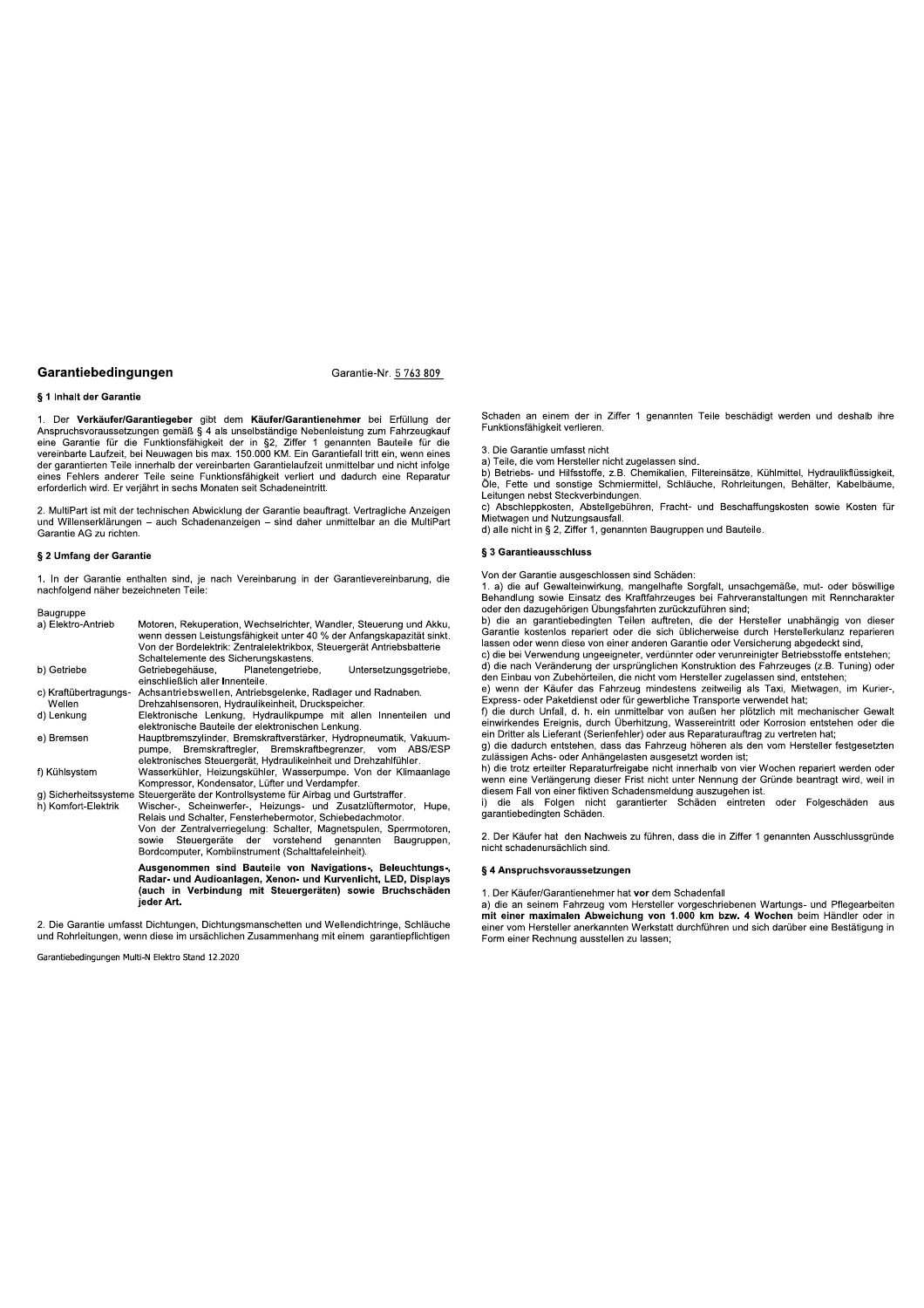Garantie-Nr. 5 763 809

## § 1 Inhalt der Garantie

1. Der Verkäufer/Garantiegeber gibt dem Käufer/Garantienehmer bei Erfüllung der Anspruchsvoraussetzungen gemäß § 4 als unselbständige Nebenleistung zum Fahrzeugkauf<br>eine Garantie für die Funktionsfähigkeit der in §2, Ziffer 1 genannten Bauteile für die vereinbarte Laufzeit, bei Neuwagen bis max. 150.0 der garantierten Teile innerhalb der vereinbarten Garantielaufzeit unmittelbar und nicht infolge eines Fehlers anderer Teile seine Funktionsfähigkeit verliert und dadurch eine Reparatur erforderlich wird. Er verjährt in sechs Monaten seit Schadeneintritt.

2. MultiPart ist mit der technischen Abwicklung der Garantie beauftragt. Vertragliche Anzeigen und Willenserklärungen - auch Schadenanzeigen - sind daher unmittelbar an die MultiPart Garantie AG zu richten.

#### § 2 Umfang der Garantie

1. In der Garantie enthalten sind, je nach Vereinbarung in der Garantievereinbarung, die nachfolgend näher bezeichneten Teile:

| bauyruppe             |                                                                                                                                                                                                         |
|-----------------------|---------------------------------------------------------------------------------------------------------------------------------------------------------------------------------------------------------|
| a) Elektro-Antrieb    | Motoren, Rekuperation, Wechselrichter, Wandler, Steuerung und Akku,<br>wenn dessen Leistungsfähigkeit unter 40 % der Anfangskapazität sinkt.                                                            |
|                       | Von der Bordelektrik: Zentralelektrikbox, Steuergerät Antriebsbatterie                                                                                                                                  |
|                       | Schaltelemente des Sicherungskastens.                                                                                                                                                                   |
| b) Getriebe           | Getriebegehäuse, Planetengetriebe,<br>Untersetzungsgetriebe,<br>einschließlich aller Innenteile.                                                                                                        |
| c) Kraftübertragungs- | Achsantriebswellen, Antriebsgelenke, Radlager und Radnaben.                                                                                                                                             |
| Wellen                | Drehzahlsensoren, Hydraulikeinheit, Druckspeicher.                                                                                                                                                      |
| d) Lenkung            | Elektronische Lenkung, Hydraulikpumpe mit allen Innenteilen und<br>elektronische Bauteile der elektronischen Lenkung.                                                                                   |
| e) Bremsen            | Hauptbremszylinder, Bremskraftverstärker, Hydropneumatik, Vakuum-<br>Bremskraftregler, Bremskraftbegrenzer, vom ABS/ESP<br>pumpe,<br>elektronisches Steuergerät, Hydraulikeinheit und Drehzahlfühler.   |
| f) Kühlsystem         | Wasserkühler, Heizungskühler, Wasserpumpe. Von der Klimaanlage<br>Kompressor, Kondensator, Lüfter und Verdampfer.                                                                                       |
|                       | g) Sicherheitssysteme Steuergeräte der Kontrollsysteme für Airbag und Gurtstraffer.                                                                                                                     |
| h) Komfort-Elektrik   | Wischer-, Scheinwerfer-, Heizungs- und Zusatzlüftermotor, Hupe,<br>Relais und Schalter, Fensterhebermotor, Schiebedachmotor.                                                                            |
|                       | Von der Zentralverriegelung: Schalter, Magnetspulen, Sperrmotoren,<br>Steuergeräte der vorstehend genannten<br>sowie<br>Baugruppen,<br>Bordcomputer, Kombiinstrument (Schalttafeleinheit).              |
|                       | Ausgenommen sind Bauteile von Navigations-, Beleuchtungs-,<br>Radar- und Audioanlagen, Xenon- und Kurvenlicht, LED, Displays<br>(auch in Verbindung mit Steuergeräten) sowie Bruchschäden<br>jeder Art. |
|                       |                                                                                                                                                                                                         |

2. Die Garantie umfasst Dichtungen, Dichtungsmanschetten und Wellendichtringe, Schläuche und Rohrleitungen, wenn diese im ursächlichen Zusammenhang mit einem garantiepflichtigen

Garantiehedingungen Multi-N Elektro Stand 12.2020

Schaden an einem der in Ziffer 1 genannten Teile beschädigt werden und deshalb ihre Funktionsfähigkeit verlieren.

3. Die Garantie umfasst nicht

a) Teile, die vom Hersteller nicht zugelassen sind.

b) Betriebs- und Hilfsstoffe, z.B. Chemikalien, Filtereinsätze, Kühlmittel, Hydraulikflüssigkeit. Öle, Fette und sonstige Schmiermittel, Schläuche, Rohrleitungen, Behälter, Kabelbäume, Leitungen nebst Steckverbindungen.<br>c) Abschleppkosten, Abstellgebühren, Fracht- und Beschaffungskosten sowie Kosten für

Mietwagen und Nutzungsausfall.

d) alle nicht in § 2, Ziffer 1, genannten Baugruppen und Bauteile.

#### § 3 Garantieausschluss

Von der Garantie ausgeschlossen sind Schäden:

von der Galanne ausgeschnoseen sind Schaden.<br>1. a) die auf Gewalteinwirkung, mangelhafte Sorgfalt, unsachgemäße, mut- oder böswillige<br>Behandlung sowie Einsatz des Kraftfahrzeuges bei Fahrveranstaltungen mit Renncharakter

Formation de la de la de la de la de la de la de la de la de la de la de la de la de la de la de la de la de la de la de la de la de la de la de la de la de la de la de la de la de la de la de la de la de la de la de la de lassen oder wenn diese von einer anderen Garantie oder Versicherung abgedeckt sind.

c) die bei Verwendung ungeeigneter, verdünnter oder verunreinigter Betriebsstoffe entstehen; d) die nach Veränderung der ursprünglichen Konstruktion des Fahrzeuges (z.B. Tuning) oder den Einbau von Zubehörteilen, die nicht vom Hersteller zugelassen sind, entstehen;

e) wenn der Käufer das Fahrzeug mindestens zeitweilig als Taxi, Mietwagen, im Kurier-, Express- oder Paketdienst oder für gewerbliche Transporte verwendet hat;<br>f) die durch Unfall, d. h. ein unmittelbar von außen her plötzlich mit mechanischer Gewalt

rie dans i orientalisation de la constantiation de la constantiation de la constantiation de la constantiation de la constantiation de la constantiation de la constantiation de la constantiation de la constantiation de la

zulässigen Achs- oder Anhängelasten ausgesetzt worden ist;<br>h) die trotz erteilter Reparaturfreigabe nicht innerhalb von vier Wochen repariert werden oder

wenn eine Verlängerung dieser Frist nicht unter Nennung der Gründe beantragt wird, weil in diesem Fall von einer fiktiven Schadensmeldung auszugehen ist.

als Folgen nicht garantierter Schäden eintreten oder Folgeschäden aus garantiebedingten Schäden.

2. Der Käufer hat den Nachweis zu führen, dass die in Ziffer 1 genannten Ausschlussgründe nicht schadenursächlich sind.

#### § 4 Anspruchsvoraussetzungen

1. Der Käufer/Garantienehmer hat vor dem Schadenfall

a) die an seinem Fahrzeug vom Hersteller vorgeschriebenen Wartungs- und Pflegearbeiten mit einer maximalen Abweichung von 1.000 km bzw. 4 Wochen beim Händler oder in einer vom Hersteller anerkannten Werkstatt durchführen und sich darüber eine Bestätigung in Form einer Rechnung ausstellen zu lassen: